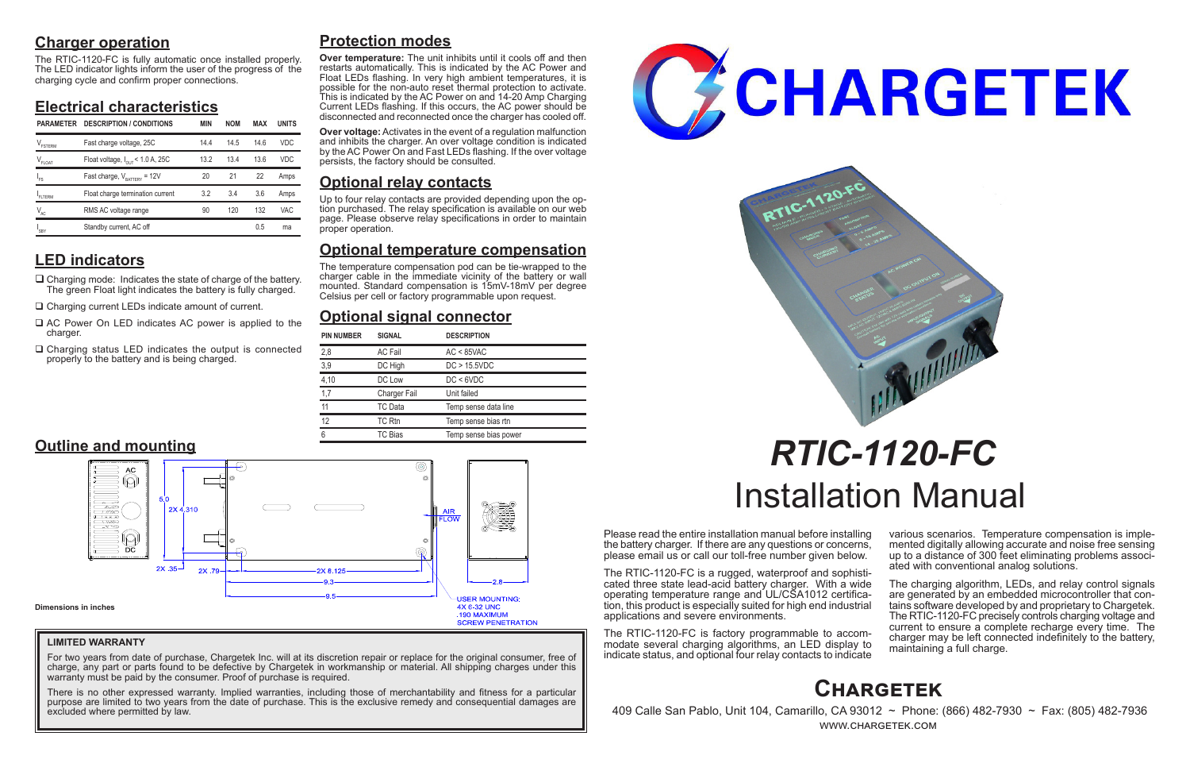## **Charger operation**

The RTIC-1120-FC is fully automatic once installed properly. The LED indicator lights inform the user of the progress of the charging cycle and confirm proper connections.

## **Electrical characteristics**

# **LED indicators**

- $\Box$  Charging mode: Indicates the state of charge of the battery. The green Float light indicates the battery is fully charged.
- □ Charging current LEDs indicate amount of current.
- $\Box$  AC Power On LED indicates AC power is applied to the charger.
- $\Box$  Charging status LED indicates the output is connected properly to the battery and is being charged.

Please read the entire installation manual before installing the battery charger. If there are any questions or concerns, please email us or call our toll-free number given below.

> The charging algorithm, LEDs, and relay control signals are generated by an embedded microcontroller that contains software developed by and proprietary to Chargetek. The RTIC-1120-FC precisely controls charging voltage and current to ensure a complete recharge every time. The charger may be left connected indefinitely to the battery, maintaining a full charge.

The RTIC-1120-FC is a rugged, waterproof and sophisticated three state lead-acid battery charger. With a wide operating temperature range and UL/CSA1012 certification, this product is especially suited for high end industrial applications and severe environments.

The RTIC-1120-FC is factory programmable to accommodate several charging algorithms, an LED display to indicate status, and optional four relay contacts to indicate

various scenarios. Temperature compensation is imple- mented digitally allowing accurate and noise free sensing up to a distance of 300 feet eliminating problems associ- ated with conventional analog solutions.

# *RTIC-1120-FC* Installation Manual

## **Protection modes**

For two years from date of purchase, Chargetek Inc. will at its discretion repair or replace for the original consumer, free of charge, any part or parts found to be defective by Chargetek in workmanship or material. All shipping charges under this warranty must be paid by the consumer. Proof of purchase is required.

**Over temperature:** The unit inhibits until it cools off and then restarts automatically. This is indicated by the AC Power and Float LEDs flashing. In very high ambient temperatures, it is possible for the non-auto reset thermal protection to activate. This is indicated by the AC Power on and 14-20 Amp Charging Current LEDs flashing. If this occurs, the AC power should be disconnected and reconnected once the charger has cooled off.

**Over voltage:** Activates in the event of a regulation malfunction and inhibits the charger. An over voltage condition is indicated by the AC Power On and Fast LEDs flashing. If the over voltage persists, the factory should be consulted.

## **Optional relay contacts**

Up to four relay contacts are provided depending upon the op- tion purchased. The relay specification is available on our web page. Please observe relay specifications in order to maintain proper operation.

## **Optional temperature compensation**

The temperature compensation pod can be tie-wrapped to the charger cable in the immediate vicinity of the battery or wall mounted. Standard compensation is 15mV-18mV per degree Celsius per cell or factory programmable upon request.

## **Optional signal connector**



 409 Calle San Pablo, Unit 104, Camarillo, CA 93012 ~ Phone: (866) 482-7930 ~ Fax: (805) 482-7936 www.chargetek.com

| <b>PIN NUMBER</b> | <b>SIGNAL</b>       | <b>DESCRIPTION</b>    |
|-------------------|---------------------|-----------------------|
| 2,8               | <b>AC Fail</b>      | $AC < 85$ VAC         |
| 3,9               | DC High             | DC > 15.5VDC          |
| 4,10              | DC Low              | DC < 6VDC             |
| 1,7               | <b>Charger Fail</b> | Unit failed           |
| 11                | TC Data             | Temp sense data line  |
| 12                | TC Rtn              | Temp sense bias rtn   |
| 6                 | TC Bias             | Temp sense bias power |

| <b>PARAMETER</b>           | <b>DESCRIPTION / CONDITIONS</b>              | MIN | <b>NOM</b> | MAX  | <b>UNITS</b> |
|----------------------------|----------------------------------------------|-----|------------|------|--------------|
| FSTERM                     | Fast charge voltage, 25C                     | 144 | 14.5       | 14 6 | <b>VDC</b>   |
| $V_{FLOAT}$                | Float voltage, $I_{\text{out}}$ < 1.0 A, 25C | 132 | 13.4       | 13.6 | <b>VDC</b>   |
| ı<br>Fs                    | Fast charge, $V_{\text{raffry}} = 12V$       | 20  | 21         | 22   | Amps         |
| FITERM                     | Float charge termination current             | 3.2 | 3.4        | 3.6  | Amps         |
| $\mathsf{V}_{\mathsf{AC}}$ | RMS AC voltage range                         | 90  | 120        | 132  | VAC          |
| SBY                        | Standby current, AC off                      |     |            | 0.5  | ma           |



## **LIMITED WARRANTY**

There is no other expressed warranty. Implied warranties, including those of merchantability and fitness for a particular purpose are limited to two years from the date of purchase. This is the exclusive remedy and consequential damages are excluded where permitted by law.